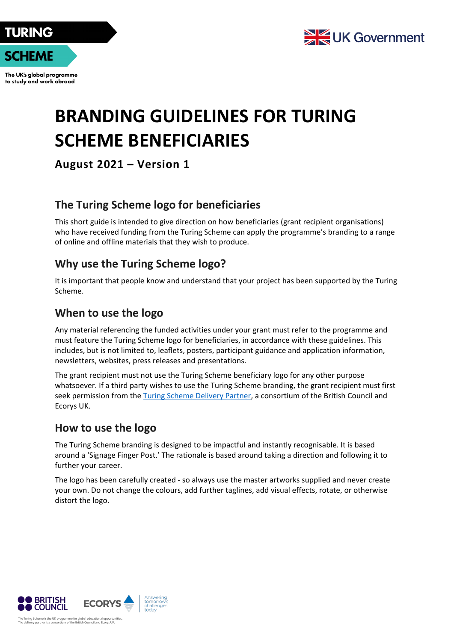

The UK's global programme to study and work abroad



# **BRANDING GUIDELINES FOR TURING SCHEME BENEFICIARIES**

**August 2021 – Version 1**

# **The Turing Scheme logo for beneficiaries**

This short guide is intended to give direction on how beneficiaries (grant recipient organisations) who have received funding from the Turing Scheme can apply the programme's branding to a range of online and offline materials that they wish to produce.

## **Why use the Turing Scheme logo?**

It is important that people know and understand that your project has been supported by the Turing Scheme.

## **When to use the logo**

Any material referencing the funded activities under your grant must refer to the programme and must feature the Turing Scheme logo for beneficiaries, in accordance with these guidelines. This includes, but is not limited to, leaflets, posters, participant guidance and application information, newsletters, websites, press releases and presentations.

The grant recipient must not use the Turing Scheme beneficiary logo for any other purpose whatsoever. If a third party wishes to use the Turing Scheme branding, the grant recipient must first seek permission from the [Turing Scheme Delivery Partner,](mailto:turing-scheme.comms@ecorys.com) a consortium of the British Council and Ecorys UK.

## **How to use the logo**

The Turing Scheme branding is designed to be impactful and instantly recognisable. It is based around a 'Signage Finger Post.' The rationale is based around taking a direction and following it to further your career.

The logo has been carefully created - so always use the master artworks supplied and never create your own. Do not change the colours, add further taglines, add visual effects, rotate, or otherwise distort the logo.